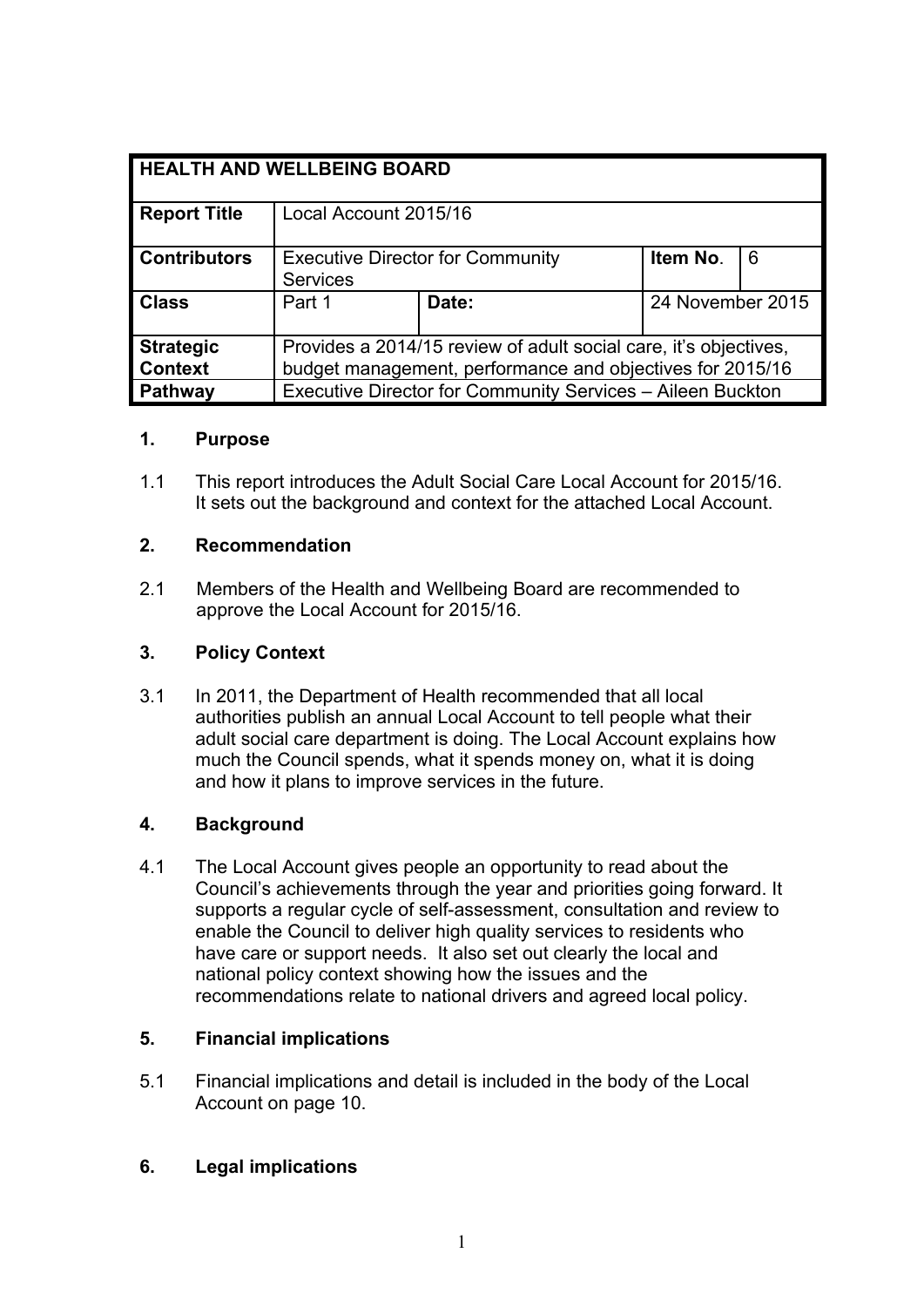| <b>HEALTH AND WELLBEING BOARD</b> |                                                                  |       |                  |   |
|-----------------------------------|------------------------------------------------------------------|-------|------------------|---|
|                                   |                                                                  |       |                  |   |
| <b>Report Title</b>               | Local Account 2015/16                                            |       |                  |   |
|                                   |                                                                  |       |                  |   |
| <b>Contributors</b>               | <b>Executive Director for Community</b>                          |       | Item No.         | 6 |
|                                   | <b>Services</b>                                                  |       |                  |   |
| <b>Class</b>                      | Part 1                                                           | Date: | 24 November 2015 |   |
|                                   |                                                                  |       |                  |   |
| <b>Strategic</b>                  | Provides a 2014/15 review of adult social care, it's objectives, |       |                  |   |
| <b>Context</b>                    | budget management, performance and objectives for 2015/16        |       |                  |   |
| Pathway                           | Executive Director for Community Services - Aileen Buckton       |       |                  |   |

# **1. Purpose**

1.1 This report introduces the Adult Social Care Local Account for 2015/16. It sets out the background and context for the attached Local Account.

### **2. Recommendation**

2.1 Members of the Health and Wellbeing Board are recommended to approve the Local Account for 2015/16.

## **3. Policy Context**

3.1 In 2011, the Department of Health recommended that all local authorities publish an annual Local Account to tell people what their adult social care department is doing. The Local Account explains how much the Council spends, what it spends money on, what it is doing and how it plans to improve services in the future.

# **4. Background**

4.1 The Local Account gives people an opportunity to read about the Council's achievements through the year and priorities going forward. It supports a regular cycle of self-assessment, consultation and review to enable the Council to deliver high quality services to residents who have care or support needs. It also set out clearly the local and national policy context showing how the issues and the recommendations relate to national drivers and agreed local policy.

#### **5. Financial implications**

5.1 Financial implications and detail is included in the body of the Local Account on page 10.

# **6. Legal implications**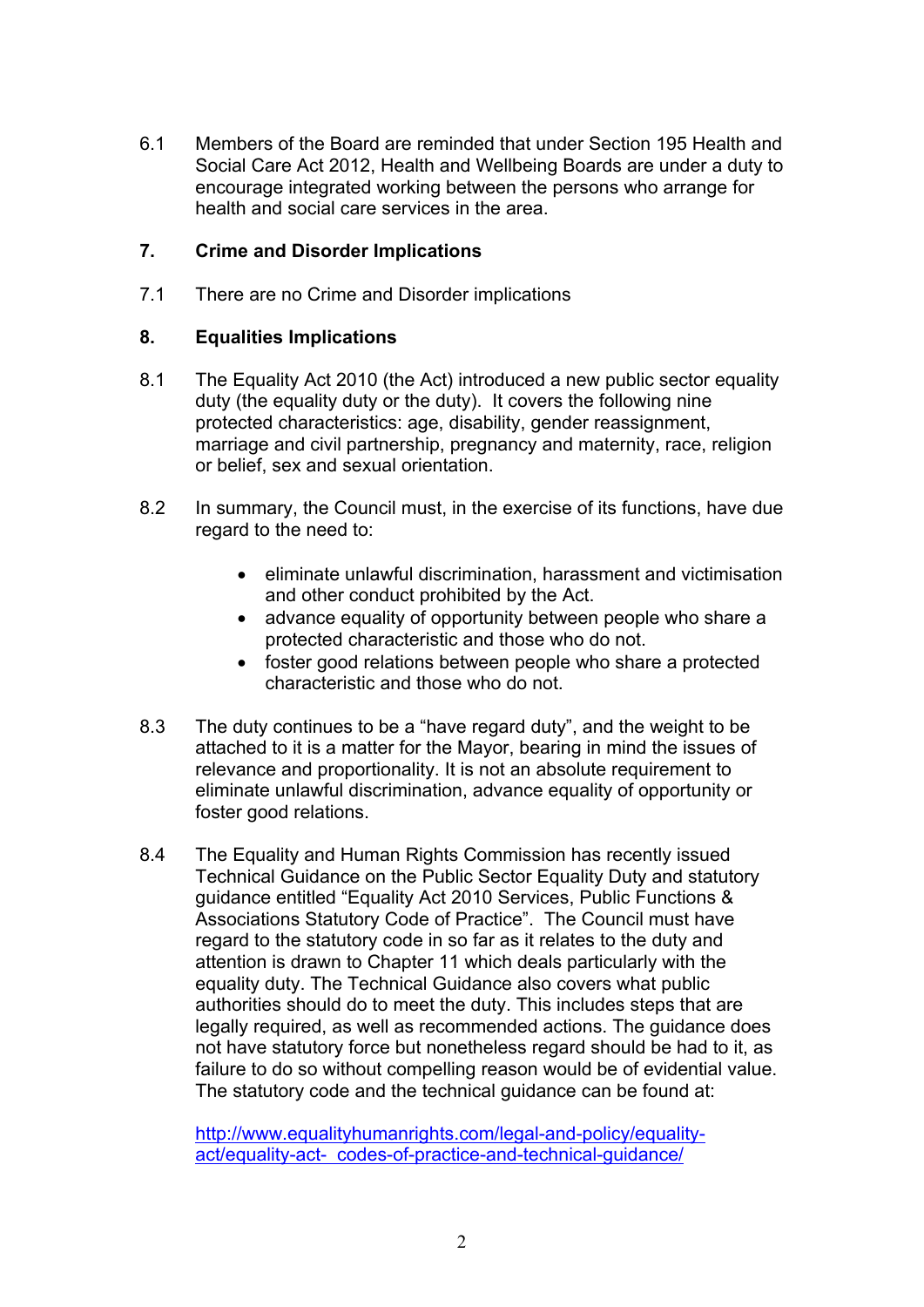6.1 Members of the Board are reminded that under Section 195 Health and Social Care Act 2012, Health and Wellbeing Boards are under a duty to encourage integrated working between the persons who arrange for health and social care services in the area.

### **7. Crime and Disorder Implications**

7.1 There are no Crime and Disorder implications

## **8. Equalities Implications**

- 8.1 The Equality Act 2010 (the Act) introduced a new public sector equality duty (the equality duty or the duty). It covers the following nine protected characteristics: age, disability, gender reassignment, marriage and civil partnership, pregnancy and maternity, race, religion or belief, sex and sexual orientation.
- 8.2 In summary, the Council must, in the exercise of its functions, have due regard to the need to:
	- eliminate unlawful discrimination, harassment and victimisation and other conduct prohibited by the Act.
	- advance equality of opportunity between people who share a protected characteristic and those who do not.
	- foster good relations between people who share a protected characteristic and those who do not.
- 8.3 The duty continues to be a "have regard duty", and the weight to be attached to it is a matter for the Mayor, bearing in mind the issues of relevance and proportionality. It is not an absolute requirement to eliminate unlawful discrimination, advance equality of opportunity or foster good relations.
- 8.4 The Equality and Human Rights Commission has recently issued Technical Guidance on the Public Sector Equality Duty and statutory guidance entitled "Equality Act 2010 Services, Public Functions & Associations Statutory Code of Practice". The Council must have regard to the statutory code in so far as it relates to the duty and attention is drawn to Chapter 11 which deals particularly with the equality duty. The Technical Guidance also covers what public authorities should do to meet the duty. This includes steps that are legally required, as well as recommended actions. The guidance does not have statutory force but nonetheless regard should be had to it, as failure to do so without compelling reason would be of evidential value. The statutory code and the technical guidance can be found at:

[http://www.equalityhumanrights.com/legal-and-policy/equality](http://www.equalityhumanrights.com/legal-and-policy/equality-act/equality-act-%20%20codes-of-practice-and-technical-guidance/)[act/equality-act- codes-of-practice-and-technical-guidance/](http://www.equalityhumanrights.com/legal-and-policy/equality-act/equality-act-%20%20codes-of-practice-and-technical-guidance/)